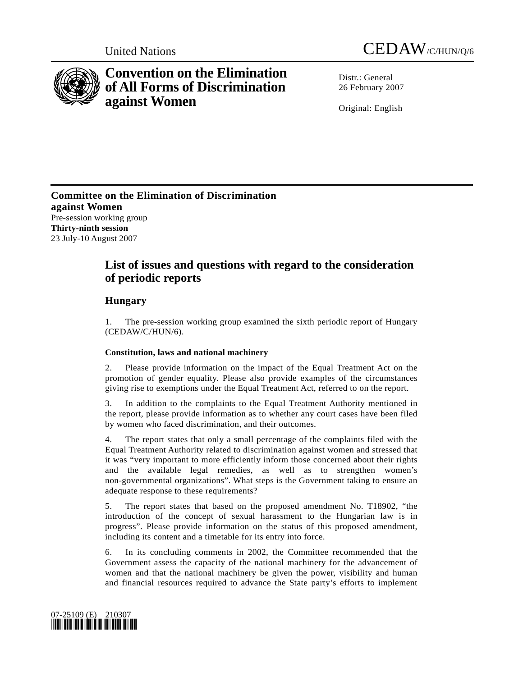



# **Convention on the Elimination of All Forms of Discrimination against Women**

Distr · General 26 February 2007

Original: English

**Committee on the Elimination of Discrimination against Women**  Pre-session working group **Thirty-ninth session**  23 July-10 August 2007

## **List of issues and questions with regard to the consideration of periodic reports**

## **Hungary**

1. The pre-session working group examined the sixth periodic report of Hungary (CEDAW/C/HUN/6).

### **Constitution, laws and national machinery**

2. Please provide information on the impact of the Equal Treatment Act on the promotion of gender equality. Please also provide examples of the circumstances giving rise to exemptions under the Equal Treatment Act, referred to on the report.

3. In addition to the complaints to the Equal Treatment Authority mentioned in the report, please provide information as to whether any court cases have been filed by women who faced discrimination, and their outcomes.

4. The report states that only a small percentage of the complaints filed with the Equal Treatment Authority related to discrimination against women and stressed that it was "very important to more efficiently inform those concerned about their rights and the available legal remedies, as well as to strengthen women's non-governmental organizations". What steps is the Government taking to ensure an adequate response to these requirements?

5. The report states that based on the proposed amendment No. T18902, "the introduction of the concept of sexual harassment to the Hungarian law is in progress". Please provide information on the status of this proposed amendment, including its content and a timetable for its entry into force.

6. In its concluding comments in 2002, the Committee recommended that the Government assess the capacity of the national machinery for the advancement of women and that the national machinery be given the power, visibility and human and financial resources required to advance the State party's efforts to implement

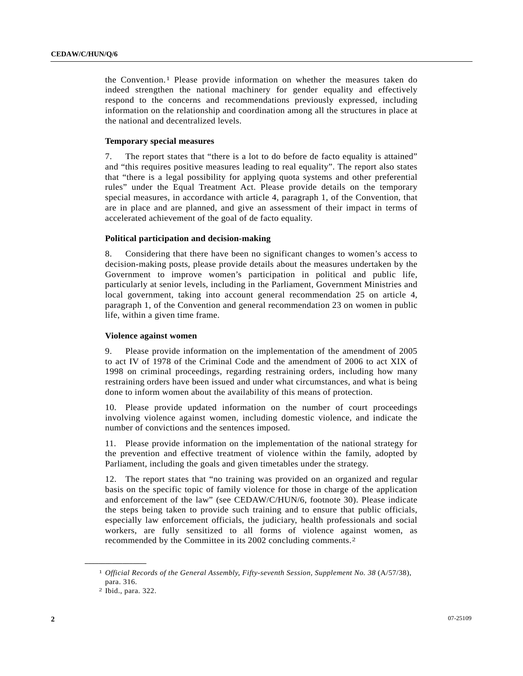the Convention.[1](#page-1-0) Please provide information on whether the measures taken do indeed strengthen the national machinery for gender equality and effectively respond to the concerns and recommendations previously expressed, including information on the relationship and coordination among all the structures in place at the national and decentralized levels.

#### **Temporary special measures**

7. The report states that "there is a lot to do before de facto equality is attained" and "this requires positive measures leading to real equality". The report also states that "there is a legal possibility for applying quota systems and other preferential rules" under the Equal Treatment Act. Please provide details on the temporary special measures, in accordance with article 4, paragraph 1, of the Convention, that are in place and are planned, and give an assessment of their impact in terms of accelerated achievement of the goal of de facto equality.

#### **Political participation and decision-making**

8. Considering that there have been no significant changes to women's access to decision-making posts, please provide details about the measures undertaken by the Government to improve women's participation in political and public life, particularly at senior levels, including in the Parliament, Government Ministries and local government, taking into account general recommendation 25 on article 4, paragraph 1, of the Convention and general recommendation 23 on women in public life, within a given time frame.

#### **Violence against women**

9. Please provide information on the implementation of the amendment of 2005 to act IV of 1978 of the Criminal Code and the amendment of 2006 to act XIX of 1998 on criminal proceedings, regarding restraining orders, including how many restraining orders have been issued and under what circumstances, and what is being done to inform women about the availability of this means of protection.

10. Please provide updated information on the number of court proceedings involving violence against women, including domestic violence, and indicate the number of convictions and the sentences imposed.

11. Please provide information on the implementation of the national strategy for the prevention and effective treatment of violence within the family, adopted by Parliament, including the goals and given timetables under the strategy.

12. The report states that "no training was provided on an organized and regular basis on the specific topic of family violence for those in charge of the application and enforcement of the law" (see CEDAW/C/HUN/6, footnote 30). Please indicate the steps being taken to provide such training and to ensure that public officials, especially law enforcement officials, the judiciary, health professionals and social workers, are fully sensitized to all forms of violence against women, as recommended by the Committee in its 2002 concluding comments.[2](#page-1-1)

<span id="page-1-1"></span><span id="page-1-0"></span>**\_\_\_\_\_\_\_\_\_\_\_\_\_\_\_\_\_\_** 

<sup>1</sup> *Official Records of the General Assembly, Fifty-seventh Session, Supplement No. 38* (A/57/38), para. 316.

<sup>2</sup> Ibid., para. 322.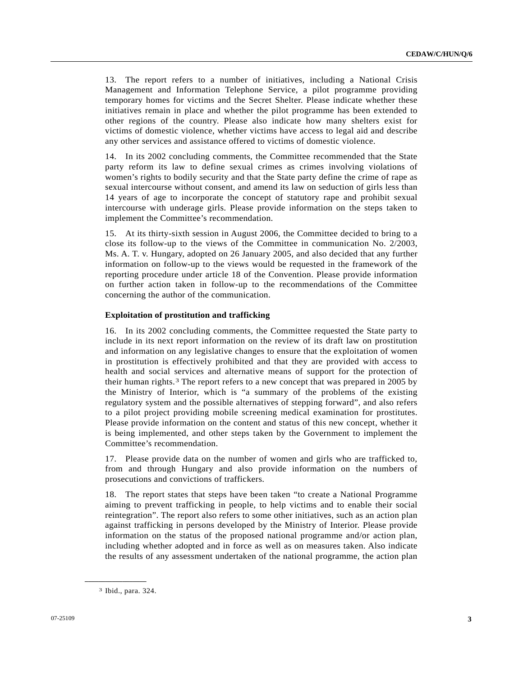13. The report refers to a number of initiatives, including a National Crisis Management and Information Telephone Service, a pilot programme providing temporary homes for victims and the Secret Shelter. Please indicate whether these initiatives remain in place and whether the pilot programme has been extended to other regions of the country. Please also indicate how many shelters exist for victims of domestic violence, whether victims have access to legal aid and describe any other services and assistance offered to victims of domestic violence.

14. In its 2002 concluding comments, the Committee recommended that the State party reform its law to define sexual crimes as crimes involving violations of women's rights to bodily security and that the State party define the crime of rape as sexual intercourse without consent, and amend its law on seduction of girls less than 14 years of age to incorporate the concept of statutory rape and prohibit sexual intercourse with underage girls. Please provide information on the steps taken to implement the Committee's recommendation.

15. At its thirty-sixth session in August 2006, the Committee decided to bring to a close its follow-up to the views of the Committee in communication No. 2/2003, Ms. A. T. v. Hungary, adopted on 26 January 2005, and also decided that any further information on follow-up to the views would be requested in the framework of the reporting procedure under article 18 of the Convention. Please provide information on further action taken in follow-up to the recommendations of the Committee concerning the author of the communication.

#### **Exploitation of prostitution and trafficking**

16. In its 2002 concluding comments, the Committee requested the State party to include in its next report information on the review of its draft law on prostitution and information on any legislative changes to ensure that the exploitation of women in prostitution is effectively prohibited and that they are provided with access to health and social services and alternative means of support for the protection of their human rights.[3](#page-2-0) The report refers to a new concept that was prepared in 2005 by the Ministry of Interior, which is "a summary of the problems of the existing regulatory system and the possible alternatives of stepping forward", and also refers to a pilot project providing mobile screening medical examination for prostitutes. Please provide information on the content and status of this new concept, whether it is being implemented, and other steps taken by the Government to implement the Committee's recommendation.

17. Please provide data on the number of women and girls who are trafficked to, from and through Hungary and also provide information on the numbers of prosecutions and convictions of traffickers.

18. The report states that steps have been taken "to create a National Programme aiming to prevent trafficking in people, to help victims and to enable their social reintegration". The report also refers to some other initiatives, such as an action plan against trafficking in persons developed by the Ministry of Interior. Please provide information on the status of the proposed national programme and/or action plan, including whether adopted and in force as well as on measures taken. Also indicate the results of any assessment undertaken of the national programme, the action plan

<span id="page-2-0"></span>**\_\_\_\_\_\_\_\_\_\_\_\_\_\_\_\_\_\_** 

<sup>3</sup> Ibid., para. 324.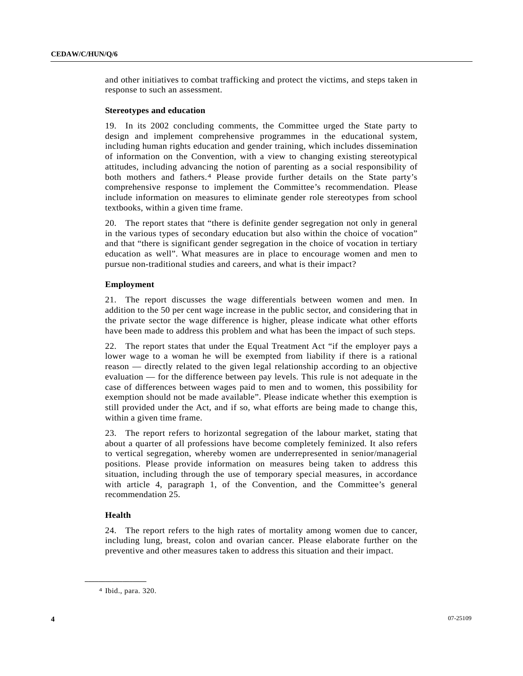and other initiatives to combat trafficking and protect the victims, and steps taken in response to such an assessment.

#### **Stereotypes and education**

19. In its 2002 concluding comments, the Committee urged the State party to design and implement comprehensive programmes in the educational system, including human rights education and gender training, which includes dissemination of information on the Convention, with a view to changing existing stereotypical attitudes, including advancing the notion of parenting as a social responsibility of both mothers and fathers.[4](#page-3-0) Please provide further details on the State party's comprehensive response to implement the Committee's recommendation. Please include information on measures to eliminate gender role stereotypes from school textbooks, within a given time frame.

20. The report states that "there is definite gender segregation not only in general in the various types of secondary education but also within the choice of vocation" and that "there is significant gender segregation in the choice of vocation in tertiary education as well". What measures are in place to encourage women and men to pursue non-traditional studies and careers, and what is their impact?

#### **Employment**

21. The report discusses the wage differentials between women and men. In addition to the 50 per cent wage increase in the public sector, and considering that in the private sector the wage difference is higher, please indicate what other efforts have been made to address this problem and what has been the impact of such steps.

22. The report states that under the Equal Treatment Act "if the employer pays a lower wage to a woman he will be exempted from liability if there is a rational reason — directly related to the given legal relationship according to an objective evaluation — for the difference between pay levels. This rule is not adequate in the case of differences between wages paid to men and to women, this possibility for exemption should not be made available". Please indicate whether this exemption is still provided under the Act, and if so, what efforts are being made to change this, within a given time frame.

23. The report refers to horizontal segregation of the labour market, stating that about a quarter of all professions have become completely feminized. It also refers to vertical segregation, whereby women are underrepresented in senior/managerial positions. Please provide information on measures being taken to address this situation, including through the use of temporary special measures, in accordance with article 4, paragraph 1, of the Convention, and the Committee's general recommendation 25.

#### **Health**

<span id="page-3-0"></span>**\_\_\_\_\_\_\_\_\_\_\_\_\_\_\_\_\_\_** 

24. The report refers to the high rates of mortality among women due to cancer, including lung, breast, colon and ovarian cancer. Please elaborate further on the preventive and other measures taken to address this situation and their impact.

<sup>4</sup> Ibid., para. 320.